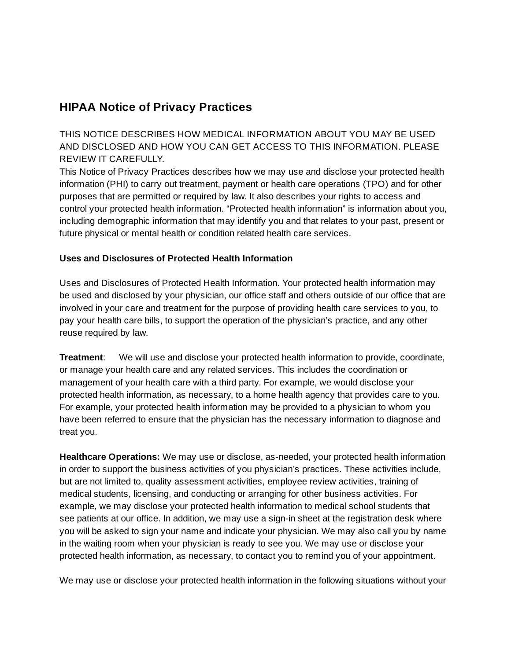# **HIPAA Notice of Privacy Practices**

THIS NOTICE DESCRIBES HOW MEDICAL INFORMATION ABOUT YOU MAY BE USED AND DISCLOSED AND HOW YOU CAN GET ACCESS TO THIS INFORMATION. PLEASE REVIEW IT CAREFULLY.

This Notice of Privacy Practices describes how we may use and disclose your protected health information (PHI) to carry out treatment, payment or health care operations (TPO) and for other purposes that are permitted or required by law. It also describes your rights to access and control your protected health information. "Protected health information" is information about you, including demographic information that may identify you and that relates to your past, present or future physical or mental health or condition related health care services.

### **Uses and Disclosures of Protected Health Information**

Uses and Disclosures of Protected Health Information. Your protected health information may be used and disclosed by your physician, our office staff and others outside of our office that are involved in your care and treatment for the purpose of providing health care services to you, to pay your health care bills, to support the operation of the physician's practice, and any other reuse required by law.

**Treatment**: We will use and disclose your protected health information to provide, coordinate, or manage your health care and any related services. This includes the coordination or management of your health care with a third party. For example, we would disclose your protected health information, as necessary, to a home health agency that provides care to you. For example, your protected health information may be provided to a physician to whom you have been referred to ensure that the physician has the necessary information to diagnose and treat you.

**Healthcare Operations:** We may use or disclose, as-needed, your protected health information in order to support the business activities of you physician's practices. These activities include, but are not limited to, quality assessment activities, employee review activities, training of medical students, licensing, and conducting or arranging for other business activities. For example, we may disclose your protected health information to medical school students that see patients at our office. In addition, we may use a sign-in sheet at the registration desk where you will be asked to sign your name and indicate your physician. We may also call you by name in the waiting room when your physician is ready to see you. We may use or disclose your protected health information, as necessary, to contact you to remind you of your appointment.

We may use or disclose your protected health information in the following situations without your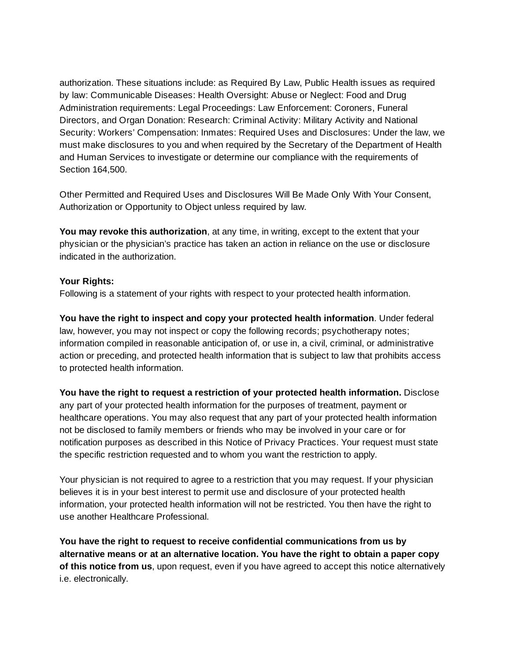authorization. These situations include: as Required By Law, Public Health issues as required by law: Communicable Diseases: Health Oversight: Abuse or Neglect: Food and Drug Administration requirements: Legal Proceedings: Law Enforcement: Coroners, Funeral Directors, and Organ Donation: Research: Criminal Activity: Military Activity and National Security: Workers' Compensation: Inmates: Required Uses and Disclosures: Under the law, we must make disclosures to you and when required by the Secretary of the Department of Health and Human Services to investigate or determine our compliance with the requirements of Section 164,500.

Other Permitted and Required Uses and Disclosures Will Be Made Only With Your Consent, Authorization or Opportunity to Object unless required by law.

**You may revoke this authorization**, at any time, in writing, except to the extent that your physician or the physician's practice has taken an action in reliance on the use or disclosure indicated in the authorization.

#### **Your Rights:**

Following is a statement of your rights with respect to your protected health information.

**You have the right to inspect and copy your protected health information**. Under federal law, however, you may not inspect or copy the following records; psychotherapy notes; information compiled in reasonable anticipation of, or use in, a civil, criminal, or administrative action or preceding, and protected health information that is subject to law that prohibits access to protected health information.

**You have the right to request a restriction of your protected health information.** Disclose any part of your protected health information for the purposes of treatment, payment or healthcare operations. You may also request that any part of your protected health information not be disclosed to family members or friends who may be involved in your care or for notification purposes as described in this Notice of Privacy Practices. Your request must state the specific restriction requested and to whom you want the restriction to apply.

Your physician is not required to agree to a restriction that you may request. If your physician believes it is in your best interest to permit use and disclosure of your protected health information, your protected health information will not be restricted. You then have the right to use another Healthcare Professional.

**You have the right to request to receive confidential communications from us by alternative means or at an alternative location. You have the right to obtain a paper copy of this notice from us**, upon request, even if you have agreed to accept this notice alternatively i.e. electronically.